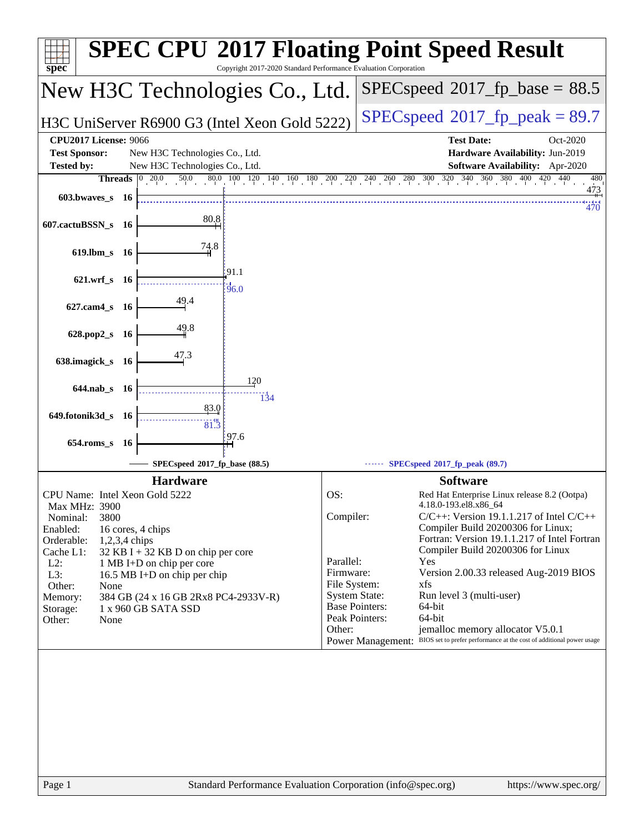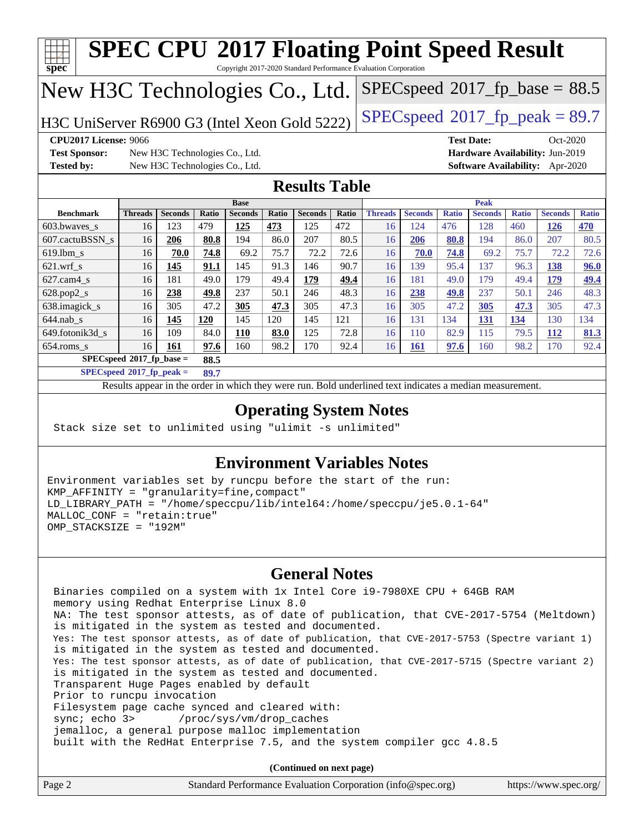

- Filesystem page cache synced and cleared with: sync; echo 3> /proc/sys/vm/drop\_caches
	- jemalloc, a general purpose malloc implementation
	- built with the RedHat Enterprise 7.5, and the system compiler gcc 4.8.5

**(Continued on next page)**

| Page 2 | Standard Performance Evaluation Corporation (info@spec.org) | https://www.spec.org/ |
|--------|-------------------------------------------------------------|-----------------------|
|--------|-------------------------------------------------------------|-----------------------|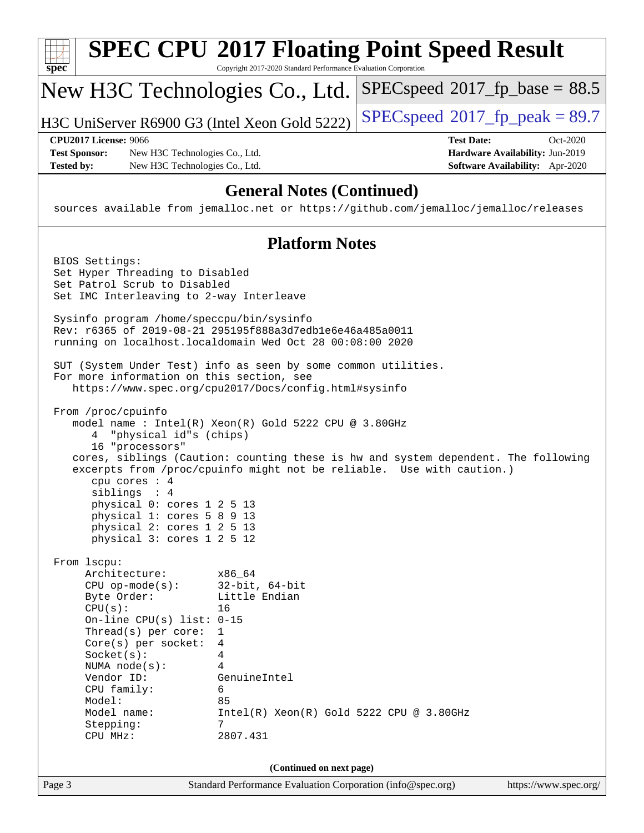| $SPEC speed^{\circ}2017\_fp\_base = 88.5$<br>New H3C Technologies Co., Ltd.                                                                                                                                                                                                                                                                                                                                                                            |          |  |  |
|--------------------------------------------------------------------------------------------------------------------------------------------------------------------------------------------------------------------------------------------------------------------------------------------------------------------------------------------------------------------------------------------------------------------------------------------------------|----------|--|--|
| $SPEC speed@2017_fp\_peak = 89.7$<br>H3C UniServer R6900 G3 (Intel Xeon Gold 5222)                                                                                                                                                                                                                                                                                                                                                                     |          |  |  |
| <b>CPU2017 License: 9066</b><br><b>Test Date:</b><br><b>Test Sponsor:</b><br>Hardware Availability: Jun-2019<br>New H3C Technologies Co., Ltd.<br>Software Availability: Apr-2020<br><b>Tested by:</b><br>New H3C Technologies Co., Ltd.                                                                                                                                                                                                               | Oct-2020 |  |  |
| <b>General Notes (Continued)</b><br>sources available from jemalloc.net or https://github.com/jemalloc/jemalloc/releases                                                                                                                                                                                                                                                                                                                               |          |  |  |
| <b>Platform Notes</b>                                                                                                                                                                                                                                                                                                                                                                                                                                  |          |  |  |
| BIOS Settings:<br>Set Hyper Threading to Disabled<br>Set Patrol Scrub to Disabled<br>Set IMC Interleaving to 2-way Interleave                                                                                                                                                                                                                                                                                                                          |          |  |  |
| Sysinfo program /home/speccpu/bin/sysinfo<br>Rev: r6365 of 2019-08-21 295195f888a3d7edble6e46a485a0011<br>running on localhost.localdomain Wed Oct 28 00:08:00 2020                                                                                                                                                                                                                                                                                    |          |  |  |
| SUT (System Under Test) info as seen by some common utilities.<br>For more information on this section, see<br>https://www.spec.org/cpu2017/Docs/config.html#sysinfo                                                                                                                                                                                                                                                                                   |          |  |  |
| From /proc/cpuinfo<br>model name : Intel(R) Xeon(R) Gold 5222 CPU @ 3.80GHz<br>"physical id"s (chips)<br>4<br>16 "processors"<br>cores, siblings (Caution: counting these is hw and system dependent. The following<br>excerpts from /proc/cpuinfo might not be reliable. Use with caution.)<br>cpu cores : 4<br>siblings : 4<br>physical 0: cores 1 2 5 13<br>physical 1: cores 5 8 9 13<br>physical 2: cores 1 2 5 13<br>physical 3: cores 1 2 5 12  |          |  |  |
| From 1scpu:<br>Architecture:<br>x86_64<br>$32$ -bit, $64$ -bit<br>$CPU$ op-mode( $s$ ):<br>Little Endian<br>Byte Order:<br>CPU(s):<br>16<br>On-line CPU(s) list: $0-15$<br>$Thread(s)$ per core:<br>1<br>Core(s) per socket:<br>4<br>Socket(s):<br>4<br>4<br>NUMA $node(s)$ :<br>Vendor ID:<br>GenuineIntel<br>CPU family:<br>6<br>Model:<br>85<br>Model name:<br>$Intel(R) Xeon(R) Gold 5222 CPU @ 3.80GHz$<br>7<br>Stepping:<br>CPU MHz:<br>2807.431 |          |  |  |
| (Continued on next page)<br>Page 3<br>Standard Performance Evaluation Corporation (info@spec.org)<br>https://www.spec.org/                                                                                                                                                                                                                                                                                                                             |          |  |  |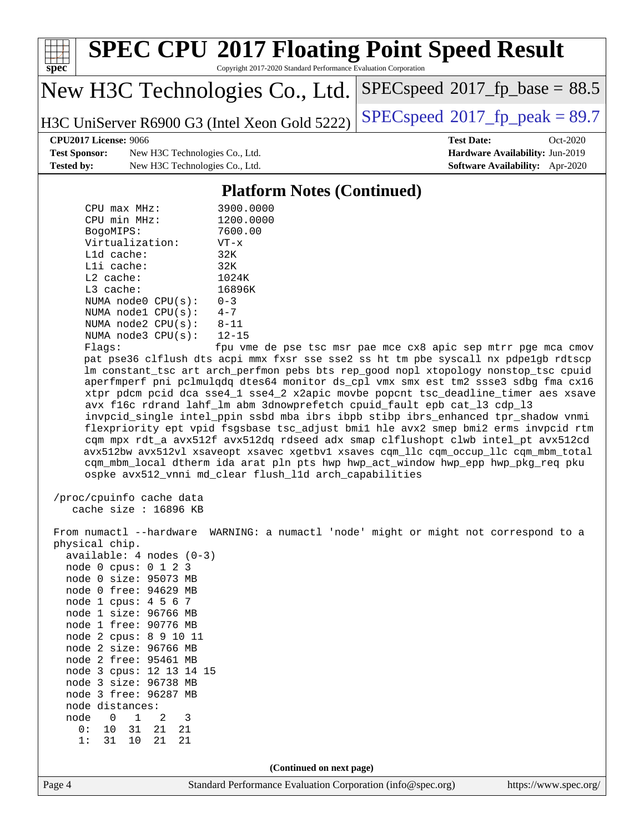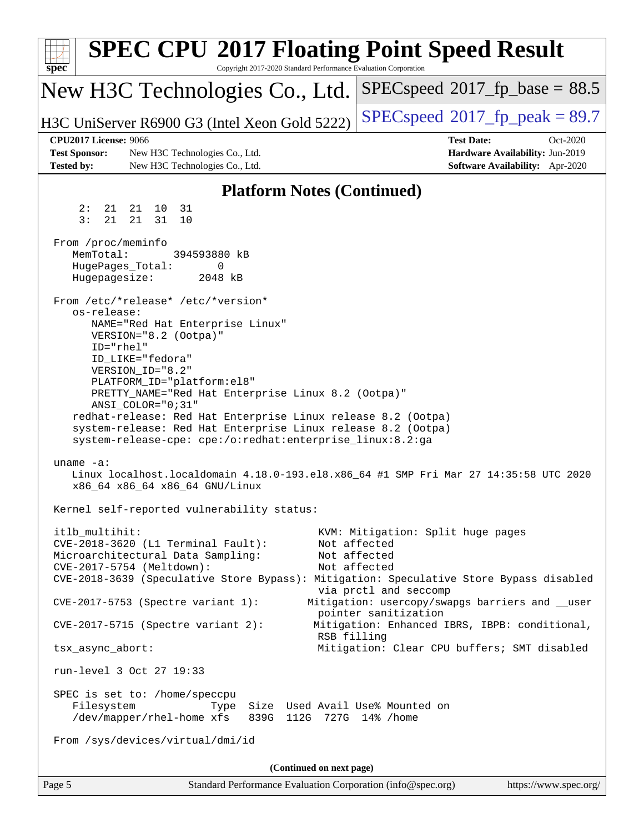| <b>SPEC CPU®2017 Floating Point Speed Result</b><br>Copyright 2017-2020 Standard Performance Evaluation Corporation<br>$spec^*$ |                                                                         |
|---------------------------------------------------------------------------------------------------------------------------------|-------------------------------------------------------------------------|
| New H3C Technologies Co., Ltd.                                                                                                  | $SPEC speed^{\circ}2017\_fp\_base = 88.5$                               |
| H3C UniServer R6900 G3 (Intel Xeon Gold 5222)                                                                                   | $SPEC speed^{\circ}2017$ fp peak = 89.7                                 |
| <b>CPU2017 License: 9066</b>                                                                                                    | <b>Test Date:</b><br>Oct-2020                                           |
| <b>Test Sponsor:</b><br>New H3C Technologies Co., Ltd.<br><b>Tested by:</b><br>New H3C Technologies Co., Ltd.                   | Hardware Availability: Jun-2019<br>Software Availability: Apr-2020      |
| <b>Platform Notes (Continued)</b>                                                                                               |                                                                         |
| 2:<br>21<br>21 10<br>31                                                                                                         |                                                                         |
| 3:<br>21 31<br>21<br>10                                                                                                         |                                                                         |
| From /proc/meminfo<br>MemTotal:<br>394593880 kB                                                                                 |                                                                         |
| HugePages_Total:<br>0                                                                                                           |                                                                         |
| Hugepagesize:<br>2048 kB                                                                                                        |                                                                         |
| From /etc/*release* /etc/*version*                                                                                              |                                                                         |
| os-release:<br>NAME="Red Hat Enterprise Linux"                                                                                  |                                                                         |
| VERSION="8.2 (Ootpa)"<br>ID="rhel"                                                                                              |                                                                         |
| ID LIKE="fedora"                                                                                                                |                                                                         |
| VERSION_ID="8.2"<br>PLATFORM_ID="platform:el8"                                                                                  |                                                                         |
| PRETTY_NAME="Red Hat Enterprise Linux 8.2 (Ootpa)"                                                                              |                                                                         |
| ANSI_COLOR="0;31"<br>redhat-release: Red Hat Enterprise Linux release 8.2 (Ootpa)                                               |                                                                         |
| system-release: Red Hat Enterprise Linux release 8.2 (Ootpa)                                                                    |                                                                         |
| system-release-cpe: cpe:/o:redhat:enterprise_linux:8.2:ga                                                                       |                                                                         |
| uname $-a$ :                                                                                                                    |                                                                         |
| Linux localhost.localdomain 4.18.0-193.el8.x86_64 #1 SMP Fri Mar 27 14:35:58 UTC 2020<br>x86_64 x86_64 x86_64 GNU/Linux         |                                                                         |
| Kernel self-reported vulnerability status:                                                                                      |                                                                         |
| itlb multihit:                                                                                                                  | KVM: Mitigation: Split huge pages                                       |
| CVE-2018-3620 (L1 Terminal Fault):<br>Microarchitectural Data Sampling:                                                         | Not affected<br>Not affected                                            |
| CVE-2017-5754 (Meltdown):                                                                                                       | Not affected                                                            |
| CVE-2018-3639 (Speculative Store Bypass): Mitigation: Speculative Store Bypass disabled                                         | via prctl and seccomp                                                   |
| CVE-2017-5753 (Spectre variant 1):                                                                                              | Mitigation: usercopy/swapgs barriers and __user<br>pointer sanitization |
| $CVE-2017-5715$ (Spectre variant 2):<br>RSB filling                                                                             | Mitigation: Enhanced IBRS, IBPB: conditional,                           |
| tsx_async_abort:                                                                                                                | Mitigation: Clear CPU buffers; SMT disabled                             |
| run-level 3 Oct 27 19:33                                                                                                        |                                                                         |
| SPEC is set to: /home/speccpu                                                                                                   |                                                                         |
| Filesystem<br>Size Used Avail Use% Mounted on<br>Type<br>/dev/mapper/rhel-home xfs<br>839G 112G 727G 14% / home                 |                                                                         |
| From /sys/devices/virtual/dmi/id                                                                                                |                                                                         |
| (Continued on next page)                                                                                                        |                                                                         |
| Standard Performance Evaluation Corporation (info@spec.org)<br>Page 5                                                           | https://www.spec.org/                                                   |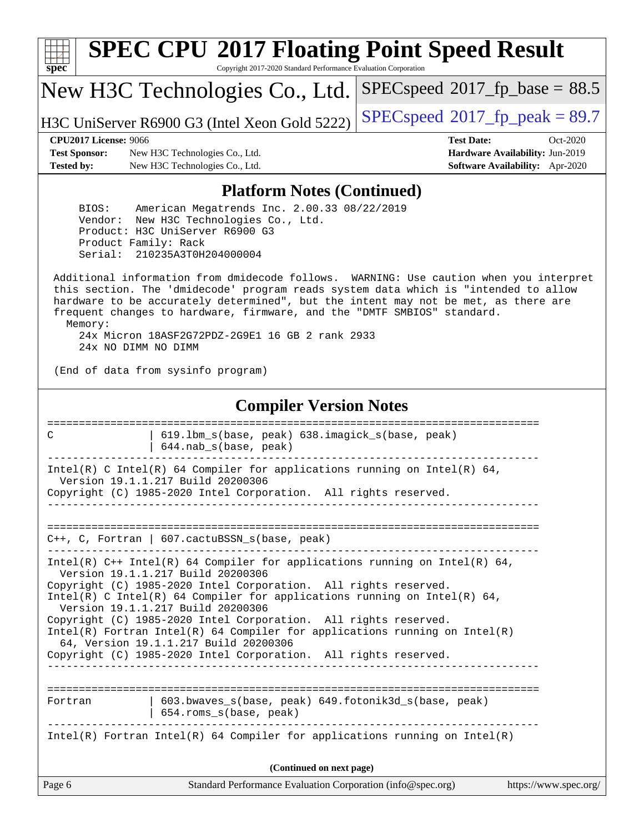| s<br>æ<br>n<br>C<br>c |  |  |  |  |
|-----------------------|--|--|--|--|

# **[SPEC CPU](http://www.spec.org/auto/cpu2017/Docs/result-fields.html#SPECCPU2017FloatingPointSpeedResult)[2017 Floating Point Speed Result](http://www.spec.org/auto/cpu2017/Docs/result-fields.html#SPECCPU2017FloatingPointSpeedResult)**

Copyright 2017-2020 Standard Performance Evaluation Corporation

New H3C Technologies Co., Ltd.

H3C UniServer R6900 G3 (Intel Xeon Gold 5222) [SPECspeed](http://www.spec.org/auto/cpu2017/Docs/result-fields.html#SPECspeed2017fppeak)<sup>®</sup>[2017\\_fp\\_peak = 8](http://www.spec.org/auto/cpu2017/Docs/result-fields.html#SPECspeed2017fppeak)9.7

 $SPECspeed*2017_fp\_base = 88.5$  $SPECspeed*2017_fp\_base = 88.5$ 

**[Test Sponsor:](http://www.spec.org/auto/cpu2017/Docs/result-fields.html#TestSponsor)** New H3C Technologies Co., Ltd. **[Hardware Availability:](http://www.spec.org/auto/cpu2017/Docs/result-fields.html#HardwareAvailability)** Jun-2019 **[Tested by:](http://www.spec.org/auto/cpu2017/Docs/result-fields.html#Testedby)** New H3C Technologies Co., Ltd. **[Software Availability:](http://www.spec.org/auto/cpu2017/Docs/result-fields.html#SoftwareAvailability)** Apr-2020

**[CPU2017 License:](http://www.spec.org/auto/cpu2017/Docs/result-fields.html#CPU2017License)** 9066 **[Test Date:](http://www.spec.org/auto/cpu2017/Docs/result-fields.html#TestDate)** Oct-2020

### **[Platform Notes \(Continued\)](http://www.spec.org/auto/cpu2017/Docs/result-fields.html#PlatformNotes)**

 BIOS: American Megatrends Inc. 2.00.33 08/22/2019 Vendor: New H3C Technologies Co., Ltd. Product: H3C UniServer R6900 G3 Product Family: Rack Serial: 210235A3T0H204000004

 Additional information from dmidecode follows. WARNING: Use caution when you interpret this section. The 'dmidecode' program reads system data which is "intended to allow hardware to be accurately determined", but the intent may not be met, as there are frequent changes to hardware, firmware, and the "DMTF SMBIOS" standard. Memory: 24x Micron 18ASF2G72PDZ-2G9E1 16 GB 2 rank 2933

24x NO DIMM NO DIMM

(End of data from sysinfo program)

### **[Compiler Version Notes](http://www.spec.org/auto/cpu2017/Docs/result-fields.html#CompilerVersionNotes)**

| Page 6<br>Standard Performance Evaluation Corporation (info@spec.org)<br>https://www.spec.org/                                                                                                                                                                                                                                                                                                                                                  |  |  |  |
|-------------------------------------------------------------------------------------------------------------------------------------------------------------------------------------------------------------------------------------------------------------------------------------------------------------------------------------------------------------------------------------------------------------------------------------------------|--|--|--|
| (Continued on next page)                                                                                                                                                                                                                                                                                                                                                                                                                        |  |  |  |
| Intel(R) Fortran Intel(R) 64 Compiler for applications running on Intel(R)                                                                                                                                                                                                                                                                                                                                                                      |  |  |  |
| 603.bwaves s(base, peak) 649.fotonik3d s(base, peak)<br>Fortran<br>654.roms_s(base, peak)                                                                                                                                                                                                                                                                                                                                                       |  |  |  |
| Copyright (C) 1985-2020 Intel Corporation. All rights reserved.<br>Intel(R) C Intel(R) 64 Compiler for applications running on Intel(R) 64,<br>Version 19.1.1.217 Build 20200306<br>Copyright (C) 1985-2020 Intel Corporation. All rights reserved.<br>$Intel(R)$ Fortran Intel(R) 64 Compiler for applications running on Intel(R)<br>64, Version 19.1.1.217 Build 20200306<br>Copyright (C) 1985-2020 Intel Corporation. All rights reserved. |  |  |  |
| Intel(R) $C++$ Intel(R) 64 Compiler for applications running on Intel(R) 64,<br>Version 19.1.1.217 Build 20200306                                                                                                                                                                                                                                                                                                                               |  |  |  |
| C++, C, Fortran   607.cactuBSSN_s(base, peak)                                                                                                                                                                                                                                                                                                                                                                                                   |  |  |  |
| Intel(R) C Intel(R) 64 Compiler for applications running on Intel(R) 64,<br>Version 19.1.1.217 Build 20200306<br>Copyright (C) 1985-2020 Intel Corporation. All rights reserved.                                                                                                                                                                                                                                                                |  |  |  |
| 619.1bm_s(base, peak) 638.imagick_s(base, peak)<br>C<br>$644.nab_s(base, peak)$                                                                                                                                                                                                                                                                                                                                                                 |  |  |  |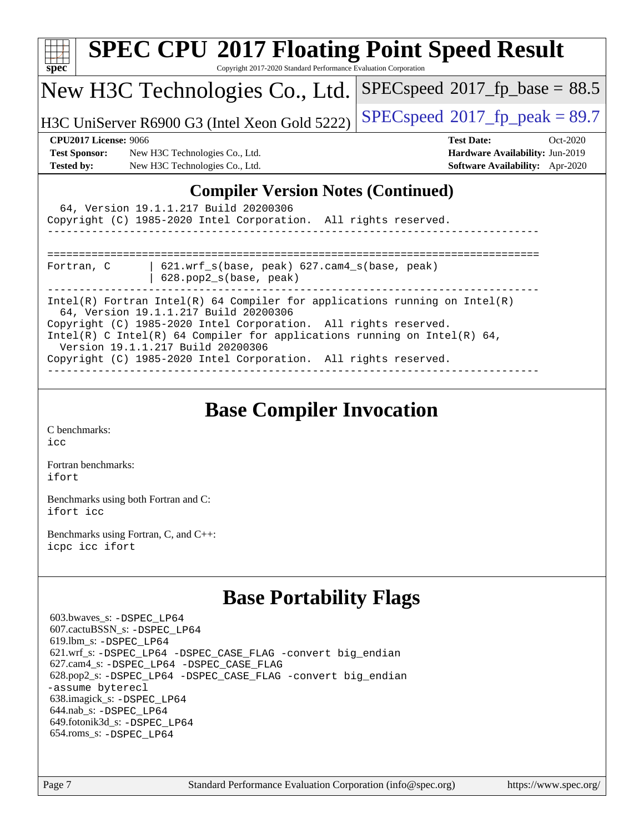| <b>SPEC CPU®2017 Floating Point Speed Result</b><br>$s\overline{pec}$<br>Copyright 2017-2020 Standard Performance Evaluation Corporation                                                                                                                                                                                                                                   |                                                                                                            |  |  |
|----------------------------------------------------------------------------------------------------------------------------------------------------------------------------------------------------------------------------------------------------------------------------------------------------------------------------------------------------------------------------|------------------------------------------------------------------------------------------------------------|--|--|
| New H3C Technologies Co., Ltd.                                                                                                                                                                                                                                                                                                                                             | $SPEC speed^{\circ}2017\_fp\_base = 88.5$                                                                  |  |  |
| H3C UniServer R6900 G3 (Intel Xeon Gold 5222)                                                                                                                                                                                                                                                                                                                              | $SPEC speed^{\circ}2017$ _fp_peak = 89.7                                                                   |  |  |
| <b>CPU2017 License: 9066</b><br><b>Test Sponsor:</b><br>New H3C Technologies Co., Ltd.<br><b>Tested by:</b><br>New H3C Technologies Co., Ltd.                                                                                                                                                                                                                              | <b>Test Date:</b><br>Oct-2020<br>Hardware Availability: Jun-2019<br><b>Software Availability:</b> Apr-2020 |  |  |
| <b>Compiler Version Notes (Continued)</b><br>64, Version 19.1.1.217 Build 20200306<br>Copyright (C) 1985-2020 Intel Corporation. All rights reserved.                                                                                                                                                                                                                      |                                                                                                            |  |  |
| $621.$ wrf $s$ (base, peak) $627.$ cam4 $s$ (base, peak)<br>Fortran, C<br>$628.$ pop $2 s(base, peak)$                                                                                                                                                                                                                                                                     |                                                                                                            |  |  |
| Intel(R) Fortran Intel(R) 64 Compiler for applications running on Intel(R)<br>64, Version 19.1.1.217 Build 20200306<br>Copyright (C) 1985-2020 Intel Corporation. All rights reserved.<br>Intel(R) C Intel(R) 64 Compiler for applications running on Intel(R) 64,<br>Version 19.1.1.217 Build 20200306<br>Copyright (C) 1985-2020 Intel Corporation. All rights reserved. |                                                                                                            |  |  |

## **[Base Compiler Invocation](http://www.spec.org/auto/cpu2017/Docs/result-fields.html#BaseCompilerInvocation)**

[C benchmarks](http://www.spec.org/auto/cpu2017/Docs/result-fields.html#Cbenchmarks): [icc](http://www.spec.org/cpu2017/results/res2020q4/cpu2017-20201028-24334.flags.html#user_CCbase_intel_icc_66fc1ee009f7361af1fbd72ca7dcefbb700085f36577c54f309893dd4ec40d12360134090235512931783d35fd58c0460139e722d5067c5574d8eaf2b3e37e92)

[Fortran benchmarks](http://www.spec.org/auto/cpu2017/Docs/result-fields.html#Fortranbenchmarks): [ifort](http://www.spec.org/cpu2017/results/res2020q4/cpu2017-20201028-24334.flags.html#user_FCbase_intel_ifort_8111460550e3ca792625aed983ce982f94888b8b503583aa7ba2b8303487b4d8a21a13e7191a45c5fd58ff318f48f9492884d4413fa793fd88dd292cad7027ca)

[Benchmarks using both Fortran and C](http://www.spec.org/auto/cpu2017/Docs/result-fields.html#BenchmarksusingbothFortranandC): [ifort](http://www.spec.org/cpu2017/results/res2020q4/cpu2017-20201028-24334.flags.html#user_CC_FCbase_intel_ifort_8111460550e3ca792625aed983ce982f94888b8b503583aa7ba2b8303487b4d8a21a13e7191a45c5fd58ff318f48f9492884d4413fa793fd88dd292cad7027ca) [icc](http://www.spec.org/cpu2017/results/res2020q4/cpu2017-20201028-24334.flags.html#user_CC_FCbase_intel_icc_66fc1ee009f7361af1fbd72ca7dcefbb700085f36577c54f309893dd4ec40d12360134090235512931783d35fd58c0460139e722d5067c5574d8eaf2b3e37e92)

[Benchmarks using Fortran, C, and C++:](http://www.spec.org/auto/cpu2017/Docs/result-fields.html#BenchmarksusingFortranCandCXX) [icpc](http://www.spec.org/cpu2017/results/res2020q4/cpu2017-20201028-24334.flags.html#user_CC_CXX_FCbase_intel_icpc_c510b6838c7f56d33e37e94d029a35b4a7bccf4766a728ee175e80a419847e808290a9b78be685c44ab727ea267ec2f070ec5dc83b407c0218cded6866a35d07) [icc](http://www.spec.org/cpu2017/results/res2020q4/cpu2017-20201028-24334.flags.html#user_CC_CXX_FCbase_intel_icc_66fc1ee009f7361af1fbd72ca7dcefbb700085f36577c54f309893dd4ec40d12360134090235512931783d35fd58c0460139e722d5067c5574d8eaf2b3e37e92) [ifort](http://www.spec.org/cpu2017/results/res2020q4/cpu2017-20201028-24334.flags.html#user_CC_CXX_FCbase_intel_ifort_8111460550e3ca792625aed983ce982f94888b8b503583aa7ba2b8303487b4d8a21a13e7191a45c5fd58ff318f48f9492884d4413fa793fd88dd292cad7027ca)

## **[Base Portability Flags](http://www.spec.org/auto/cpu2017/Docs/result-fields.html#BasePortabilityFlags)**

 603.bwaves\_s: [-DSPEC\\_LP64](http://www.spec.org/cpu2017/results/res2020q4/cpu2017-20201028-24334.flags.html#suite_basePORTABILITY603_bwaves_s_DSPEC_LP64) 607.cactuBSSN\_s: [-DSPEC\\_LP64](http://www.spec.org/cpu2017/results/res2020q4/cpu2017-20201028-24334.flags.html#suite_basePORTABILITY607_cactuBSSN_s_DSPEC_LP64) 619.lbm\_s: [-DSPEC\\_LP64](http://www.spec.org/cpu2017/results/res2020q4/cpu2017-20201028-24334.flags.html#suite_basePORTABILITY619_lbm_s_DSPEC_LP64) 621.wrf\_s: [-DSPEC\\_LP64](http://www.spec.org/cpu2017/results/res2020q4/cpu2017-20201028-24334.flags.html#suite_basePORTABILITY621_wrf_s_DSPEC_LP64) [-DSPEC\\_CASE\\_FLAG](http://www.spec.org/cpu2017/results/res2020q4/cpu2017-20201028-24334.flags.html#b621.wrf_s_baseCPORTABILITY_DSPEC_CASE_FLAG) [-convert big\\_endian](http://www.spec.org/cpu2017/results/res2020q4/cpu2017-20201028-24334.flags.html#user_baseFPORTABILITY621_wrf_s_convert_big_endian_c3194028bc08c63ac5d04de18c48ce6d347e4e562e8892b8bdbdc0214820426deb8554edfa529a3fb25a586e65a3d812c835984020483e7e73212c4d31a38223) 627.cam4\_s: [-DSPEC\\_LP64](http://www.spec.org/cpu2017/results/res2020q4/cpu2017-20201028-24334.flags.html#suite_basePORTABILITY627_cam4_s_DSPEC_LP64) [-DSPEC\\_CASE\\_FLAG](http://www.spec.org/cpu2017/results/res2020q4/cpu2017-20201028-24334.flags.html#b627.cam4_s_baseCPORTABILITY_DSPEC_CASE_FLAG) 628.pop2\_s: [-DSPEC\\_LP64](http://www.spec.org/cpu2017/results/res2020q4/cpu2017-20201028-24334.flags.html#suite_basePORTABILITY628_pop2_s_DSPEC_LP64) [-DSPEC\\_CASE\\_FLAG](http://www.spec.org/cpu2017/results/res2020q4/cpu2017-20201028-24334.flags.html#b628.pop2_s_baseCPORTABILITY_DSPEC_CASE_FLAG) [-convert big\\_endian](http://www.spec.org/cpu2017/results/res2020q4/cpu2017-20201028-24334.flags.html#user_baseFPORTABILITY628_pop2_s_convert_big_endian_c3194028bc08c63ac5d04de18c48ce6d347e4e562e8892b8bdbdc0214820426deb8554edfa529a3fb25a586e65a3d812c835984020483e7e73212c4d31a38223) [-assume byterecl](http://www.spec.org/cpu2017/results/res2020q4/cpu2017-20201028-24334.flags.html#user_baseFPORTABILITY628_pop2_s_assume_byterecl_7e47d18b9513cf18525430bbf0f2177aa9bf368bc7a059c09b2c06a34b53bd3447c950d3f8d6c70e3faf3a05c8557d66a5798b567902e8849adc142926523472) 638.imagick\_s: [-DSPEC\\_LP64](http://www.spec.org/cpu2017/results/res2020q4/cpu2017-20201028-24334.flags.html#suite_basePORTABILITY638_imagick_s_DSPEC_LP64) 644.nab\_s: [-DSPEC\\_LP64](http://www.spec.org/cpu2017/results/res2020q4/cpu2017-20201028-24334.flags.html#suite_basePORTABILITY644_nab_s_DSPEC_LP64) 649.fotonik3d\_s: [-DSPEC\\_LP64](http://www.spec.org/cpu2017/results/res2020q4/cpu2017-20201028-24334.flags.html#suite_basePORTABILITY649_fotonik3d_s_DSPEC_LP64) 654.roms\_s: [-DSPEC\\_LP64](http://www.spec.org/cpu2017/results/res2020q4/cpu2017-20201028-24334.flags.html#suite_basePORTABILITY654_roms_s_DSPEC_LP64)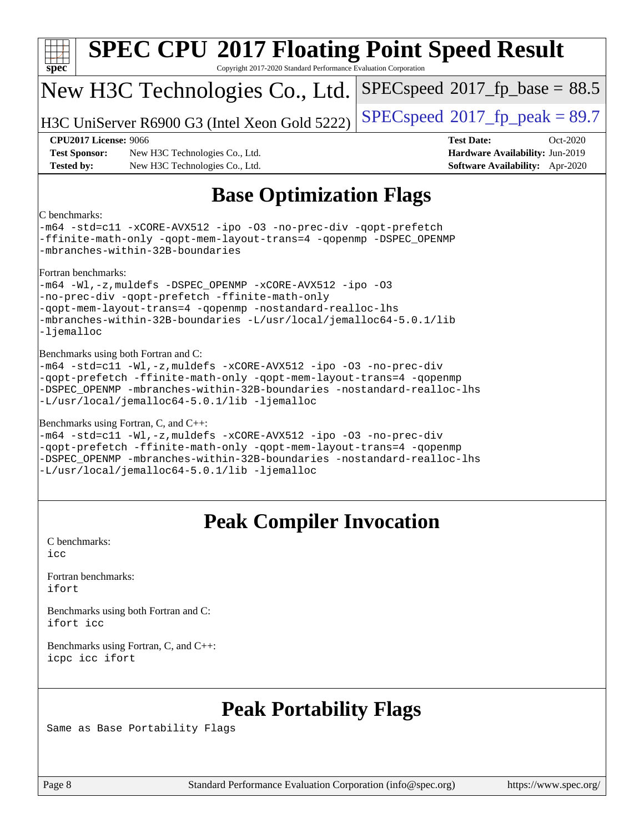| $spec^*$                                                                                                                                                                                                                                                                                                    |                              | <b>SPEC CPU®2017 Floating Point Speed Result</b><br>Copyright 2017-2020 Standard Performance Evaluation Corporation |                                                                                                     |  |
|-------------------------------------------------------------------------------------------------------------------------------------------------------------------------------------------------------------------------------------------------------------------------------------------------------------|------------------------------|---------------------------------------------------------------------------------------------------------------------|-----------------------------------------------------------------------------------------------------|--|
|                                                                                                                                                                                                                                                                                                             |                              | New H3C Technologies Co., Ltd.                                                                                      | $SPEC speed^{\circ}2017\_fp\_base = 88.5$                                                           |  |
|                                                                                                                                                                                                                                                                                                             |                              | H3C UniServer R6900 G3 (Intel Xeon Gold 5222)                                                                       | $SPEC speed^{\circ}2017$ _fp_peak = 89.7                                                            |  |
| <b>Test Sponsor:</b><br><b>Tested by:</b>                                                                                                                                                                                                                                                                   | <b>CPU2017 License: 9066</b> | New H3C Technologies Co., Ltd.<br>New H3C Technologies Co., Ltd.                                                    | <b>Test Date:</b><br>Oct-2020<br>Hardware Availability: Jun-2019<br>Software Availability: Apr-2020 |  |
|                                                                                                                                                                                                                                                                                                             |                              | <b>Base Optimization Flags</b>                                                                                      |                                                                                                     |  |
| C benchmarks:<br>-m64 -std=cll -xCORE-AVX512 -ipo -03 -no-prec-div -qopt-prefetch<br>-ffinite-math-only -qopt-mem-layout-trans=4 -qopenmp -DSPEC_OPENMP<br>-mbranches-within-32B-boundaries                                                                                                                 |                              |                                                                                                                     |                                                                                                     |  |
| Fortran benchmarks:<br>-m64 -Wl,-z, muldefs -DSPEC_OPENMP -xCORE-AVX512 -ipo -03<br>-no-prec-div -qopt-prefetch -ffinite-math-only<br>-gopt-mem-layout-trans=4 -gopenmp -nostandard-realloc-lhs<br>-mbranches-within-32B-boundaries -L/usr/local/jemalloc64-5.0.1/lib<br>-ljemalloc                         |                              |                                                                                                                     |                                                                                                     |  |
| Benchmarks using both Fortran and C:<br>-m64 -std=cl1 -Wl,-z, muldefs -xCORE-AVX512 -ipo -03 -no-prec-div<br>-qopt-prefetch -ffinite-math-only -qopt-mem-layout-trans=4 -qopenmp<br>-DSPEC OPENMP -mbranches-within-32B-boundaries -nostandard-realloc-lhs<br>-L/usr/local/jemalloc64-5.0.1/lib -ljemalloc  |                              |                                                                                                                     |                                                                                                     |  |
| Benchmarks using Fortran, C, and C++:<br>-m64 -std=c11 -Wl,-z, muldefs -xCORE-AVX512 -ipo -03 -no-prec-div<br>-qopt-prefetch -ffinite-math-only -qopt-mem-layout-trans=4 -qopenmp<br>-DSPEC OPENMP -mbranches-within-32B-boundaries -nostandard-realloc-lhs<br>-L/usr/local/jemalloc64-5.0.1/lib -ljemalloc |                              |                                                                                                                     |                                                                                                     |  |
| <b>Peak Compiler Invocation</b>                                                                                                                                                                                                                                                                             |                              |                                                                                                                     |                                                                                                     |  |
| C benchmarks:<br>icc                                                                                                                                                                                                                                                                                        |                              |                                                                                                                     |                                                                                                     |  |
| ifort                                                                                                                                                                                                                                                                                                       | Fortran benchmarks:          |                                                                                                                     |                                                                                                     |  |
| Benchmarks using both Fortran and C:<br>ifort icc                                                                                                                                                                                                                                                           |                              |                                                                                                                     |                                                                                                     |  |
| Benchmarks using Fortran, C, and C++:<br>icpc icc ifort                                                                                                                                                                                                                                                     |                              |                                                                                                                     |                                                                                                     |  |
|                                                                                                                                                                                                                                                                                                             |                              |                                                                                                                     |                                                                                                     |  |

## **[Peak Portability Flags](http://www.spec.org/auto/cpu2017/Docs/result-fields.html#PeakPortabilityFlags)**

Same as Base Portability Flags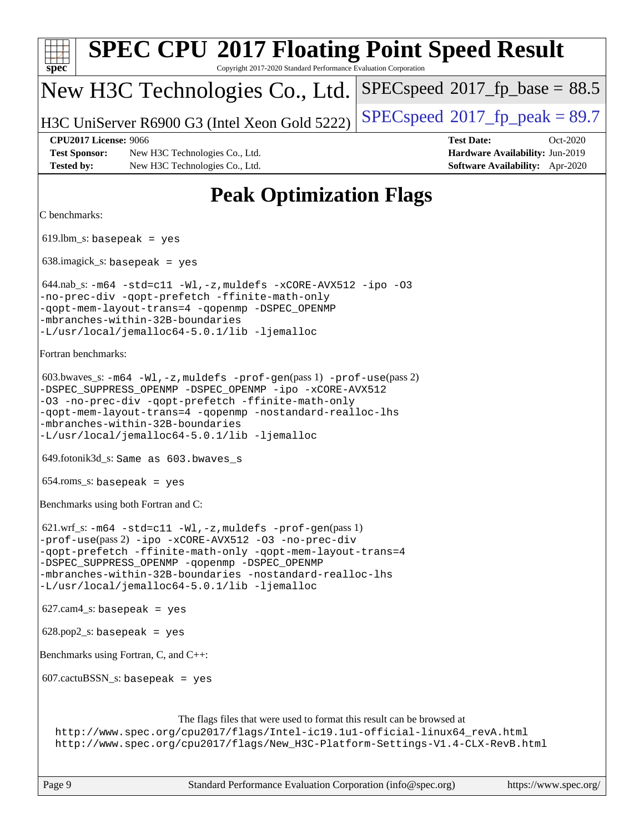| <b>SPEC CPU®2017 Floating Point Speed Result</b><br>Copyright 2017-2020 Standard Performance Evaluation Corporation<br>$spec^*$                                                                                                                                                                                                                 |                                                                                                     |
|-------------------------------------------------------------------------------------------------------------------------------------------------------------------------------------------------------------------------------------------------------------------------------------------------------------------------------------------------|-----------------------------------------------------------------------------------------------------|
| New H3C Technologies Co., Ltd.                                                                                                                                                                                                                                                                                                                  | $SPEC speed^{\circ}2017\_fp\_base = 88.5$                                                           |
| H3C UniServer R6900 G3 (Intel Xeon Gold 5222)                                                                                                                                                                                                                                                                                                   | $SPEC speed$ <sup>®</sup> $2017$ _fp_peak = 89.7                                                    |
| <b>CPU2017 License: 9066</b><br><b>Test Sponsor:</b><br>New H3C Technologies Co., Ltd.<br><b>Tested by:</b><br>New H3C Technologies Co., Ltd.                                                                                                                                                                                                   | <b>Test Date:</b><br>Oct-2020<br>Hardware Availability: Jun-2019<br>Software Availability: Apr-2020 |
| <b>Peak Optimization Flags</b>                                                                                                                                                                                                                                                                                                                  |                                                                                                     |
| C benchmarks:                                                                                                                                                                                                                                                                                                                                   |                                                                                                     |
| $619.$ lbm_s: basepeak = yes                                                                                                                                                                                                                                                                                                                    |                                                                                                     |
| $638.\text{imagick_s: basepeak}$ = yes                                                                                                                                                                                                                                                                                                          |                                                                                                     |
| 644.nab_s: -m64 -std=c11 -Wl, -z, muldefs -xCORE-AVX512 -ipo -03<br>-no-prec-div -qopt-prefetch -ffinite-math-only<br>-qopt-mem-layout-trans=4 -qopenmp -DSPEC_OPENMP<br>-mbranches-within-32B-boundaries<br>-L/usr/local/jemalloc64-5.0.1/lib -ljemalloc                                                                                       |                                                                                                     |
| Fortran benchmarks:                                                                                                                                                                                                                                                                                                                             |                                                                                                     |
| 603.bwaves_s: $-m64$ -Wl, -z, muldefs -prof-gen(pass 1) -prof-use(pass 2)<br>-DSPEC_SUPPRESS_OPENMP -DSPEC_OPENMP -ipo -xCORE-AVX512<br>-03 -no-prec-div -qopt-prefetch -ffinite-math-only<br>-qopt-mem-layout-trans=4 -qopenmp -nostandard-realloc-lhs<br>-mbranches-within-32B-boundaries<br>-L/usr/local/jemalloc64-5.0.1/lib -ljemalloc     |                                                                                                     |
| 649.fotonik3d_s: Same as 603.bwaves_s                                                                                                                                                                                                                                                                                                           |                                                                                                     |
| $654$ .roms_s: basepeak = yes                                                                                                                                                                                                                                                                                                                   |                                                                                                     |
| Benchmarks using both Fortran and C:                                                                                                                                                                                                                                                                                                            |                                                                                                     |
| 621.wrf_s: -m64 -std=c11 -Wl, -z, muldefs -prof-gen(pass 1)<br>-prof-use(pass 2) -ipo -xCORE-AVX512 -03 -no-prec-div<br>-qopt-prefetch -ffinite-math-only -qopt-mem-layout-trans=4<br>-DSPEC_SUPPRESS_OPENMP -qopenmp -DSPEC_OPENMP<br>-mbranches-within-32B-boundaries -nostandard-realloc-lhs<br>-L/usr/local/jemalloc64-5.0.1/lib -ljemalloc |                                                                                                     |
| $627.cam4_s$ : basepeak = yes                                                                                                                                                                                                                                                                                                                   |                                                                                                     |
| $628.pop2_s: basepeak = yes$                                                                                                                                                                                                                                                                                                                    |                                                                                                     |
| Benchmarks using Fortran, C, and C++:                                                                                                                                                                                                                                                                                                           |                                                                                                     |
| $607.cactuBSSN_s$ : basepeak = yes                                                                                                                                                                                                                                                                                                              |                                                                                                     |
| The flags files that were used to format this result can be browsed at<br>http://www.spec.org/cpu2017/flags/Intel-ic19.1u1-official-linux64_revA.html<br>http://www.spec.org/cpu2017/flags/New_H3C-Platform-Settings-V1.4-CLX-RevB.html                                                                                                         |                                                                                                     |